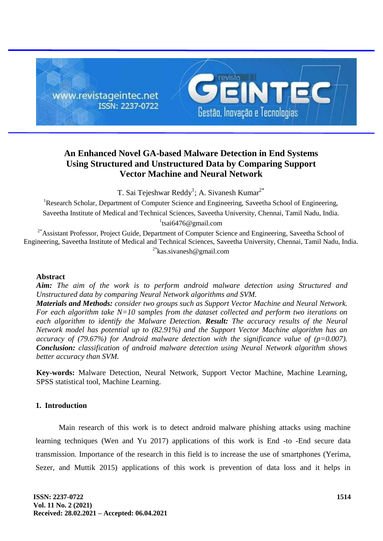

# **An Enhanced Novel GA-based Malware Detection in End Systems Using Structured and Unstructured Data by Comparing Support Vector Machine and Neural Network**

T. Sai Tejeshwar Reddy<sup>1</sup>; A. Sivanesh Kumar<sup>2\*</sup>

<sup>1</sup>Research Scholar, Department of Computer Science and Engineering, Saveetha School of Engineering, Saveetha Institute of Medical and Technical Sciences, Saveetha University, Chennai, Tamil Nadu, India. <sup>1</sup>tsai6476@gmail.com

<sup>2\*</sup>Assistant Professor, Project Guide, Department of Computer Science and Engineering, Saveetha School of Engineering, Saveetha Institute of Medical and Technical Sciences, Saveetha University, Chennai, Tamil Nadu, India. <sup>2\*</sup>kas.sivanesh@gmail.com

# **Abstract**

*Aim: The aim of the work is to perform android malware detection using Structured and Unstructured data by comparing Neural Network algorithms and SVM.*

*Materials and Methods: consider two groups such as Support Vector Machine and Neural Network. For each algorithm take N=10 samples from the dataset collected and perform two iterations on each algorithm to identify the Malware Detection. Result: The accuracy results of the Neural Network model has potential up to (82.91%) and the Support Vector Machine algorithm has an accuracy of (79.67%) for Android malware detection with the significance value of (p=0.007). Conclusion: classification of android malware detection using Neural Network algorithm shows better accuracy than SVM.*

**Key-words:** Malware Detection, Neural Network, Support Vector Machine, Machine Learning, SPSS statistical tool, Machine Learning.

### **1. Introduction**

Main research of this work is to detect android malware phishing attacks using machine learning techniques (Wen and Yu 2017) applications of this work is End -to -End secure data transmission. Importance of the research in this field is to increase the use of smartphones (Yerima, Sezer, and Muttik 2015) applications of this work is prevention of data loss and it helps in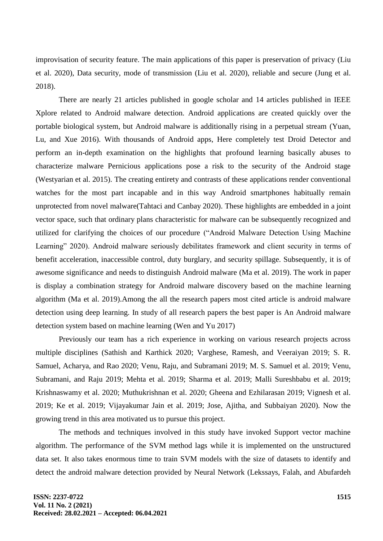improvisation of security feature. The main applications of this paper is preservation of privacy (Liu et al. 2020), Data security, mode of transmission (Liu et al. 2020), reliable and secure (Jung et al. 2018).

There are nearly 21 articles published in google scholar and 14 articles published in IEEE Xplore related to Android malware detection. Android applications are created quickly over the portable biological system, but Android malware is additionally rising in a perpetual stream (Yuan, Lu, and Xue 2016). With thousands of Android apps, Here completely test Droid Detector and perform an in-depth examination on the highlights that profound learning basically abuses to characterize malware Pernicious applications pose a risk to the security of the Android stage (Westyarian et al. 2015). The creating entirety and contrasts of these applications render conventional watches for the most part incapable and in this way Android smartphones habitually remain unprotected from novel malware(Tahtaci and Canbay 2020). These highlights are embedded in a joint vector space, such that ordinary plans characteristic for malware can be subsequently recognized and utilized for clarifying the choices of our procedure ("Android Malware Detection Using Machine Learning" 2020). Android malware seriously debilitates framework and client security in terms of benefit acceleration, inaccessible control, duty burglary, and security spillage. Subsequently, it is of awesome significance and needs to distinguish Android malware (Ma et al. 2019). The work in paper is display a combination strategy for Android malware discovery based on the machine learning algorithm (Ma et al. 2019).Among the all the research papers most cited article is android malware detection using deep learning. In study of all research papers the best paper is An Android malware detection system based on machine learning (Wen and Yu 2017)

Previously our team has a rich experience in working on various research projects across multiple disciplines (Sathish and Karthick 2020; Varghese, Ramesh, and Veeraiyan 2019; S. R. Samuel, Acharya, and Rao 2020; Venu, Raju, and Subramani 2019; M. S. Samuel et al. 2019; Venu, Subramani, and Raju 2019; Mehta et al. 2019; Sharma et al. 2019; Malli Sureshbabu et al. 2019; Krishnaswamy et al. 2020; Muthukrishnan et al. 2020; Gheena and Ezhilarasan 2019; Vignesh et al. 2019; Ke et al. 2019; Vijayakumar Jain et al. 2019; Jose, Ajitha, and Subbaiyan 2020). Now the growing trend in this area motivated us to pursue this project.

The methods and techniques involved in this study have invoked Support vector machine algorithm. The performance of the SVM method lags while it is implemented on the unstructured data set. It also takes enormous time to train SVM models with the size of datasets to identify and detect the android malware detection provided by Neural Network (Lekssays, Falah, and Abufardeh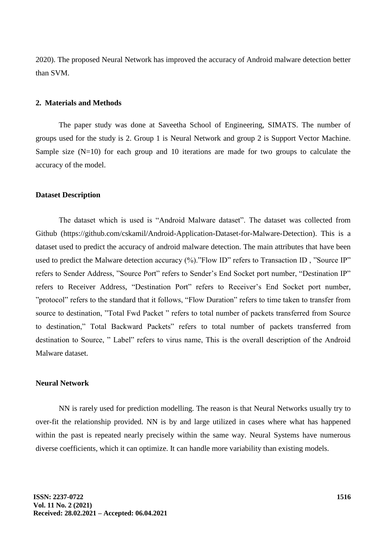2020). The proposed Neural Network has improved the accuracy of Android malware detection better than SVM.

# **2. Materials and Methods**

The paper study was done at Saveetha School of Engineering, SIMATS. The number of groups used for the study is 2. Group 1 is Neural Network and group 2 is Support Vector Machine. Sample size  $(N=10)$  for each group and 10 iterations are made for two groups to calculate the accuracy of the model.

#### **Dataset Description**

The dataset which is used is "Android Malware dataset". The dataset was collected from Github (https://github.com/cskamil/Android-Application-Dataset-for-Malware-Detection). This is a dataset used to predict the accuracy of android malware detection. The main attributes that have been used to predict the Malware detection accuracy (%). "Flow ID" refers to Transaction ID, "Source IP" refers to Sender Address, "Source Port" refers to Sender's End Socket port number, "Destination IP" refers to Receiver Address, "Destination Port" refers to Receiver's End Socket port number, "protocol" refers to the standard that it follows, "Flow Duration" refers to time taken to transfer from source to destination, "Total Fwd Packet" refers to total number of packets transferred from Source to destination," Total Backward Packets" refers to total number of packets transferred from destination to Source, " Label" refers to virus name, This is the overall description of the Android Malware dataset.

## **Neural Network**

NN is rarely used for prediction modelling. The reason is that Neural Networks usually try to over-fit the relationship provided. NN is by and large utilized in cases where what has happened within the past is repeated nearly precisely within the same way. Neural Systems have numerous diverse coefficients, which it can optimize. It can handle more variability than existing models.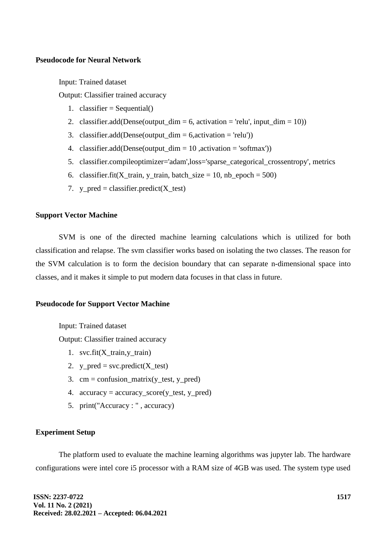## **Pseudocode for Neural Network**

Input: Trained dataset

Output: Classifier trained accuracy

- 1. classifier = Sequential()
- 2. classifier.add(Dense(output\_dim = 6, activation = 'relu', input\_dim = 10))
- 3. classifier.add(Dense(output\_dim =  $6$ , activation = 'relu'))
- 4. classifier.add(Dense(output\_dim =  $10$ , activation = 'softmax'))
- 5. classifier.compileoptimizer='adam',loss='sparse\_categorical\_crossentropy', metrics
- 6. classifier.fit(X\_train, y\_train, batch\_size = 10, nb\_epoch =  $500$ )
- 7. y\_pred = classifier.predict( $X_t$ test)

# **Support Vector Machine**

SVM is one of the directed machine learning calculations which is utilized for both classification and relapse. The svm classifier works based on isolating the two classes. The reason for the SVM calculation is to form the decision boundary that can separate n-dimensional space into classes, and it makes it simple to put modern data focuses in that class in future.

#### **Pseudocode for Support Vector Machine**

Input: Trained dataset Output: Classifier trained accuracy

- 1. svc.fit(X\_train,y\_train)
- 2. y\_pred = svc.predict(X\_test)
- 3.  $cm = \text{confusion\_matrix}(y_{\text{test}}, y_{\text{pred}})$
- 4. accuracy = accuracy\_score(y\_test, y\_pred)
- 5. print("Accuracy : " , accuracy)

### **Experiment Setup**

The platform used to evaluate the machine learning algorithms was jupyter lab. The hardware configurations were intel core i5 processor with a RAM size of 4GB was used. The system type used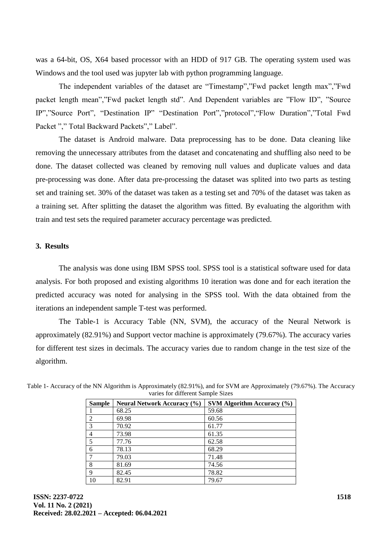was a 64-bit, OS, X64 based processor with an HDD of 917 GB. The operating system used was Windows and the tool used was jupyter lab with python programming language.

The independent variables of the dataset are "Timestamp","Fwd packet length max","Fwd packet length mean","Fwd packet length std". And Dependent variables are "Flow ID", "Source IP","Source Port", "Destination IP" "Destination Port","protocol","Flow Duration","Total Fwd Packet "," Total Backward Packets"," Label".

The dataset is Android malware. Data preprocessing has to be done. Data cleaning like removing the unnecessary attributes from the dataset and concatenating and shuffling also need to be done. The dataset collected was cleaned by removing null values and duplicate values and data pre-processing was done. After data pre-processing the dataset was splited into two parts as testing set and training set. 30% of the dataset was taken as a testing set and 70% of the dataset was taken as a training set. After splitting the dataset the algorithm was fitted. By evaluating the algorithm with train and test sets the required parameter accuracy percentage was predicted.

# **3. Results**

The analysis was done using IBM SPSS tool. SPSS tool is a statistical software used for data analysis. For both proposed and existing algorithms 10 iteration was done and for each iteration the predicted accuracy was noted for analysing in the SPSS tool. With the data obtained from the iterations an independent sample T-test was performed.

The Table-1 is Accuracy Table (NN, SVM), the accuracy of the Neural Network is approximately (82.91%) and Support vector machine is approximately (79.67%). The accuracy varies for different test sizes in decimals. The accuracy varies due to random change in the test size of the algorithm.

| <b>Sample</b>               | <b>Neural Network Accuracy (%)</b> | SVM Algorithm Accuracy $(\% )$ |
|-----------------------------|------------------------------------|--------------------------------|
|                             | 68.25                              | 59.68                          |
| $\mathcal{D}_{\mathcal{L}}$ | 69.98                              | 60.56                          |
| $\mathcal{R}$               | 70.92                              | 61.77                          |
| 4                           | 73.98                              | 61.35                          |
| $\overline{\phantom{0}}$    | 77.76                              | 62.58                          |
| 6                           | 78.13                              | 68.29                          |
|                             | 79.03                              | 71.48                          |
| 8                           | 81.69                              | 74.56                          |
| 9                           | 82.45                              | 78.82                          |
| 10                          | 82.91                              | 79.67                          |

Table 1- Accuracy of the NN Algorithm is Approximately (82.91%), and for SVM are Approximately (79.67%). The Accuracy varies for different Sample Sizes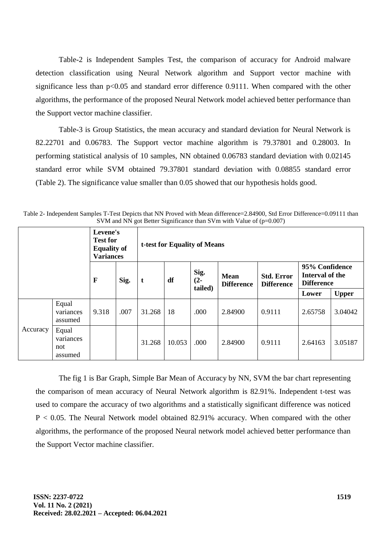Table-2 is Independent Samples Test, the comparison of accuracy for Android malware detection classification using Neural Network algorithm and Support vector machine with significance less than  $p<0.05$  and standard error difference 0.9111. When compared with the other algorithms, the performance of the proposed Neural Network model achieved better performance than the Support vector machine classifier.

Table-3 is Group Statistics, the mean accuracy and standard deviation for Neural Network is 82.22701 and 0.06783. The Support vector machine algorithm is 79.37801 and 0.28003. In performing statistical analysis of 10 samples, NN obtained 0.06783 standard deviation with 0.02145 standard error while SVM obtained 79.37801 standard deviation with 0.08855 standard error (Table 2). The significance value smaller than 0.05 showed that our hypothesis holds good.

| $\beta$ vive and type got Detter Significance than $\beta$ viii with value of $(p=0.007)$ |                                      |                                                                       |      |                              |        |                                                               |         |                                        |                                                        |              |
|-------------------------------------------------------------------------------------------|--------------------------------------|-----------------------------------------------------------------------|------|------------------------------|--------|---------------------------------------------------------------|---------|----------------------------------------|--------------------------------------------------------|--------------|
|                                                                                           |                                      | Levene's<br><b>Test for</b><br><b>Equality of</b><br><b>Variances</b> |      | t-test for Equality of Means |        |                                                               |         |                                        |                                                        |              |
|                                                                                           |                                      | $\mathbf{F}$                                                          | Sig. | t                            | df     | Sig.<br><b>Mean</b><br>$(2 -$<br><b>Difference</b><br>tailed) |         | <b>Std. Error</b><br><b>Difference</b> | 95% Confidence<br>Interval of the<br><b>Difference</b> |              |
|                                                                                           |                                      |                                                                       |      |                              |        |                                                               |         |                                        | Lower                                                  | <b>Upper</b> |
| Accuracy                                                                                  | Equal<br>variances<br>assumed        | 9.318                                                                 | .007 | 31.268                       | 18     | .000                                                          | 2.84900 | 0.9111                                 | 2.65758                                                | 3.04042      |
|                                                                                           | Equal<br>variances<br>not<br>assumed |                                                                       |      | 31.268                       | 10.053 | .000                                                          | 2.84900 | 0.9111                                 | 2.64163                                                | 3.05187      |

Table 2- Independent Samples T-Test Depicts that NN Proved with Mean difference=2.84900, Std Error Difference=0.09111 than  $SVM$  and  $\overline{NN}$  got Better Significance than  $SVM$  with Value of (p-0.007)

The fig 1 is Bar Graph, Simple Bar Mean of Accuracy by NN, SVM the bar chart representing the comparison of mean accuracy of Neural Network algorithm is 82.91%. Independent t-test was used to compare the accuracy of two algorithms and a statistically significant difference was noticed P < 0.05. The Neural Network model obtained 82.91% accuracy. When compared with the other algorithms, the performance of the proposed Neural network model achieved better performance than the Support Vector machine classifier.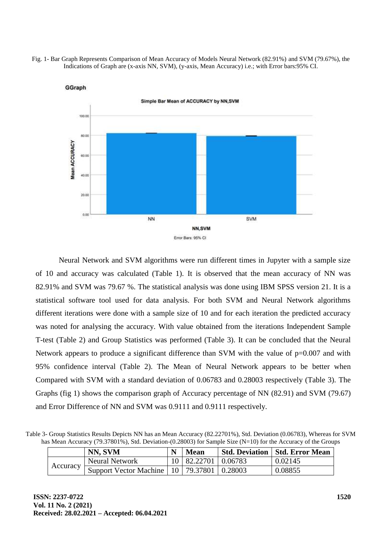Fig. 1- Bar Graph Represents Comparison of Mean Accuracy of Models Neural Network (82.91%) and SVM (79.67%), the Indications of Graph are (x-axis NN, SVM), (y-axis, Mean Accuracy) i.e.; with Error bars:95% CI.



GGraph

Neural Network and SVM algorithms were run different times in Jupyter with a sample size of 10 and accuracy was calculated (Table 1). It is observed that the mean accuracy of NN was 82.91% and SVM was 79.67 %. The statistical analysis was done using IBM SPSS version 21. It is a statistical software tool used for data analysis. For both SVM and Neural Network algorithms different iterations were done with a sample size of 10 and for each iteration the predicted accuracy was noted for analysing the accuracy. With value obtained from the iterations Independent Sample T-test (Table 2) and Group Statistics was performed (Table 3). It can be concluded that the Neural Network appears to produce a significant difference than SVM with the value of  $p=0.007$  and with 95% confidence interval (Table 2). The Mean of Neural Network appears to be better when Compared with SVM with a standard deviation of 0.06783 and 0.28003 respectively (Table 3). The Graphs (fig 1) shows the comparison graph of Accuracy percentage of NN (82.91) and SVM (79.67) and Error Difference of NN and SVM was 0.9111 and 0.9111 respectively.

Table 3- Group Statistics Results Depicts NN has an Mean Accuracy (82.22701%), Std. Deviation (0.06783), Whereas for SVM has Mean Accuracy (79.37801%), Std. Deviation-(0.28003) for Sample Size (N=10) for the Accuracy of the Groups

|          | NN, SVM                                          | <b>Mean</b>             | <b>Std. Deviation   Std. Error Mean</b> |
|----------|--------------------------------------------------|-------------------------|-----------------------------------------|
| Accuracy | <b>Neural Network</b>                            | 10   82.22701   0.06783 | 0.02145                                 |
|          | Support Vector Machine   10   79.37801   0.28003 |                         | 0.08855                                 |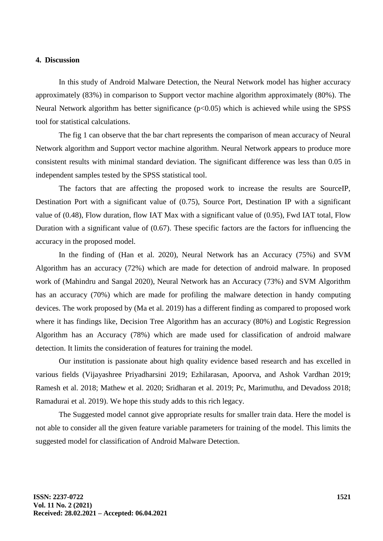## **4. Discussion**

In this study of Android Malware Detection, the Neural Network model has higher accuracy approximately (83%) in comparison to Support vector machine algorithm approximately (80%). The Neural Network algorithm has better significance (p<0.05) which is achieved while using the SPSS tool for statistical calculations.

The fig 1 can observe that the bar chart represents the comparison of mean accuracy of Neural Network algorithm and Support vector machine algorithm. Neural Network appears to produce more consistent results with minimal standard deviation. The significant difference was less than 0.05 in independent samples tested by the SPSS statistical tool.

The factors that are affecting the proposed work to increase the results are SourceIP, Destination Port with a significant value of (0.75), Source Port, Destination IP with a significant value of (0.48), Flow duration, flow IAT Max with a significant value of (0.95), Fwd IAT total, Flow Duration with a significant value of (0.67). These specific factors are the factors for influencing the accuracy in the proposed model.

In the finding of (Han et al. 2020), Neural Network has an Accuracy (75%) and SVM Algorithm has an accuracy (72%) which are made for detection of android malware. In proposed work of (Mahindru and Sangal 2020), Neural Network has an Accuracy (73%) and SVM Algorithm has an accuracy (70%) which are made for profiling the malware detection in handy computing devices. The work proposed by (Ma et al. 2019) has a different finding as compared to proposed work where it has findings like, Decision Tree Algorithm has an accuracy (80%) and Logistic Regression Algorithm has an Accuracy (78%) which are made used for classification of android malware detection. It limits the consideration of features for training the model.

Our institution is passionate about high quality evidence based research and has excelled in various fields (Vijayashree Priyadharsini 2019; Ezhilarasan, Apoorva, and Ashok Vardhan 2019; Ramesh et al. 2018; Mathew et al. 2020; Sridharan et al. 2019; Pc, Marimuthu, and Devadoss 2018; Ramadurai et al. 2019). We hope this study adds to this rich legacy.

The Suggested model cannot give appropriate results for smaller train data. Here the model is not able to consider all the given feature variable parameters for training of the model. This limits the suggested model for classification of Android Malware Detection.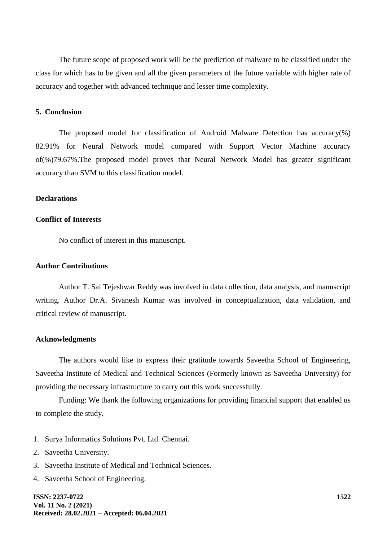The future scope of proposed work will be the prediction of malware to be classified under the class for which has to be given and all the given parameters of the future variable with higher rate of accuracy and together with advanced technique and lesser time complexity.

#### **5. Conclusion**

The proposed model for classification of Android Malware Detection has accuracy(%) 82.91% for Neural Network model compared with Support Vector Machine accuracy of(%)79.67%.The proposed model proves that Neural Network Model has greater significant accuracy than SVM to this classification model.

#### **Declarations**

## **Conflict of Interests**

No conflict of interest in this manuscript.

## **Author Contributions**

Author T. Sai Tejeshwar Reddy was involved in data collection, data analysis, and manuscript writing. Author Dr.A. Sivanesh Kumar was involved in conceptualization, data validation, and critical review of manuscript.

### **Acknowledgments**

The authors would like to express their gratitude towards Saveetha School of Engineering, Saveetha Institute of Medical and Technical Sciences (Formerly known as Saveetha University) for providing the necessary infrastructure to carry out this work successfully.

Funding: We thank the following organizations for providing financial support that enabled us to complete the study.

- 1. Surya Informatics Solutions Pvt. Ltd. Chennai.
- 2. Saveetha University.
- 3. Saveetha Institute of Medical and Technical Sciences.
- 4. Saveetha School of Engineering.

**ISSN: 2237-0722 Vol. 11 No. 2 (2021) Received: 28.02.2021 – Accepted: 06.04.2021**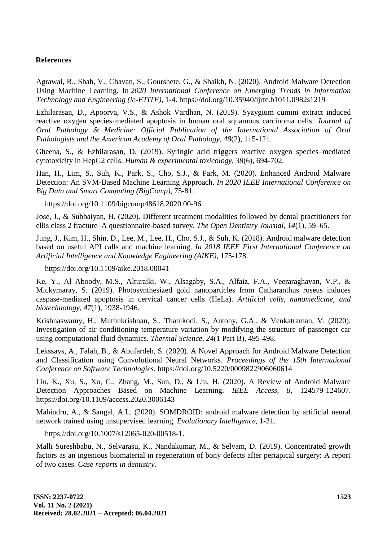# **References**

Agrawal, R., Shah, V., Chavan, S., Gourshete, G., & Shaikh, N. (2020). Android Malware Detection Using Machine Learning. In *2020 International Conference on Emerging Trends in Information Technology and Engineering (ic-ETITE),* 1-4. https://doi.org/10.35940/ijrte.b1011.0982s1219

Ezhilarasan, D., Apoorva, V.S., & Ashok Vardhan, N. (2019). Syzygium cumini extract induced reactive oxygen species‐mediated apoptosis in human oral squamous carcinoma cells. *Journal of Oral Pathology & Medicine: Official Publication of the International Association of Oral Pathologists and the American Academy of Oral Pathology, 48*(2), 115-121.

Gheena, S., & Ezhilarasan, D. (2019). Syringic acid triggers reactive oxygen species–mediated cytotoxicity in HepG2 cells. *Human & experimental toxicology, 38*(6), 694-702.

Han, H., Lim, S., Suh, K., Park, S., Cho, S.J., & Park, M. (2020). Enhanced Android Malware Detection: An SVM-Based Machine Learning Approach. *In 2020 IEEE International Conference on Big Data and Smart Computing (BigComp),* 75-81.

https://doi.org/10.1109/bigcomp48618.2020.00-96

Jose, J., & Subbaiyan, H. (2020). Different treatment modalities followed by dental practitioners for ellis class 2 fracture–A questionnaire-based survey. *The Open Dentistry Journal, 14*(1), 59–65.

Jung, J., Kim, H., Shin, D., Lee, M., Lee, H., Cho, S.J., & Suh, K. (2018). Android malware detection based on useful API calls and machine learning. *In 2018 IEEE First International Conference on Artificial Intelligence and Knowledge Engineering (AIKE),* 175-178.

https://doi.org/10.1109/aike.2018.00041

Ke, Y., Al Aboody, M.S., Alturaiki, W., Alsagaby, S.A., Alfaiz, F.A., Veeraraghavan, V.P., & Mickymaray, S. (2019). Photosynthesized gold nanoparticles from Catharanthus roseus induces caspase-mediated apoptosis in cervical cancer cells (HeLa). *Artificial cells, nanomedicine, and biotechnology, 47*(1), 1938-1946.

Krishnaswamy, H., Muthukrishnan, S., Thanikodi, S., Antony, G.A., & Venkatraman, V. (2020). Investigation of air conditioning temperature variation by modifying the structure of passenger car using computational fluid dynamics. *Thermal Science, 24*(1 Part B), 495-498.

Lekssays, A., Falah, B., & Abufardeh, S. (2020). A Novel Approach for Android Malware Detection and Classification using Convolutional Neural Networks. *Proceedings of the 15th International Conference on Software Technologies.* https://doi.org/10.5220/0009822906060614

Liu, K., Xu, S., Xu, G., Zhang, M., Sun, D., & Liu, H. (2020). A Review of Android Malware Detection Approaches Based on Machine Learning. *IEEE Access, 8,* 124579-124607. https://doi.org/10.1109/access.2020.3006143

Mahindru, A., & Sangal, A.L. (2020). SOMDROID: android malware detection by artificial neural network trained using unsupervised learning. *Evolutionary Intelligence,* 1-31.

https://doi.org/10.1007/s12065-020-00518-1.

Malli Sureshbabu, N., Selvarasu, K., Nandakumar, M., & Selvam, D. (2019). Concentrated growth factors as an ingenious biomaterial in regeneration of bony defects after periapical surgery: A report of two cases. *Case reports in dentistry.*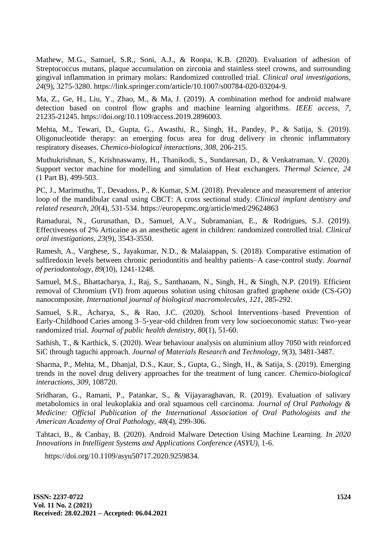Mathew, M.G., Samuel, S.R., Soni, A.J., & Roopa, K.B. (2020). Evaluation of adhesion of Streptococcus mutans, plaque accumulation on zirconia and stainless steel crowns, and surrounding gingival inflammation in primary molars: Randomized controlled trial. *Clinical oral investigations, 24*(9), 3275-3280. https://link.springer.com/article/10.1007/s00784-020-03204-9.

Ma, Z., Ge, H., Liu, Y., Zhao, M., & Ma, J. (2019). A combination method for android malware detection based on control flow graphs and machine learning algorithms. *IEEE access, 7,* 21235-21245. https://doi.org/10.1109/access.2019.2896003.

Mehta, M., Tewari, D., Gupta, G., Awasthi, R., Singh, H., Pandey, P., & Satija, S. (2019). Oligonucleotide therapy: an emerging focus area for drug delivery in chronic inflammatory respiratory diseases. *Chemico-biological interactions, 308,* 206-215.

Muthukrishnan, S., Krishnaswamy, H., Thanikodi, S., Sundaresan, D., & Venkatraman, V. (2020). Support vector machine for modelling and simulation of Heat exchangers. *Thermal Science, 24*  (1 Part B), 499-503.

PC, J., Marimuthu, T., Devadoss, P., & Kumar, S.M. (2018). Prevalence and measurement of anterior loop of the mandibular canal using CBCT: A cross sectional study. *Clinical implant dentistry and related research, 20*(4), 531-534. https://europepmc.org/article/med/29624863

Ramadurai, N., Gurunathan, D., Samuel, A.V., Subramanian, E., & Rodrigues, S.J. (2019). Effectiveness of 2% Articaine as an anesthetic agent in children: randomized controlled trial. *Clinical oral investigations, 23*(9), 3543-3550.

Ramesh, A., Varghese, S., Jayakumar, N.D., & Malaiappan, S. (2018). Comparative estimation of sulfiredoxin levels between chronic periodontitis and healthy patients–A case-control study. *Journal of periodontology, 89*(10), 1241-1248.

Samuel, M.S., Bhattacharya, J., Raj, S., Santhanam, N., Singh, H., & Singh, N.P. (2019). Efficient removal of Chromium (VI) from aqueous solution using chitosan grafted graphene oxide (CS-GO) nanocomposite. *International journal of biological macromolecules, 121,* 285-292.

Samuel, S.R., Acharya, S., & Rao, J.C. (2020). School Interventions–based Prevention of Early-Childhood Caries among 3–5-year-old children from very low socioeconomic status: Two-year randomized trial. *Journal of public health dentistry, 80*(1), 51-60.

Sathish, T., & Karthick, S. (2020). Wear behaviour analysis on aluminium alloy 7050 with reinforced SiC through taguchi approach. *Journal of Materials Research and Technology, 9*(3), 3481-3487.

Sharma, P., Mehta, M., Dhanjal, D.S., Kaur, S., Gupta, G., Singh, H., & Satija, S. (2019). Emerging trends in the novel drug delivery approaches for the treatment of lung cancer. *Chemico-biological interactions, 309,* 108720.

Sridharan, G., Ramani, P., Patankar, S., & Vijayaraghavan, R. (2019). Evaluation of salivary metabolomics in oral leukoplakia and oral squamous cell carcinoma. *Journal of Oral Pathology & Medicine: Official Publication of the International Association of Oral Pathologists and the American Academy of Oral Pathology, 48*(4), 299-306.

Tahtaci, B., & Canbay, B. (2020). Android Malware Detection Using Machine Learning. *In 2020 Innovations in Intelligent Systems and Applications Conference (ASYU),* 1-6.

https://doi.org/10.1109/asyu50717.2020.9259834.